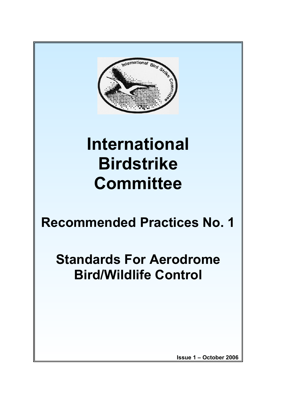

# **International Birdstrike Committee**

## **Recommended Practices No. 1**

## **Standards For Aerodrome Bird/Wildlife Control**

**Issue 1 – October 2006**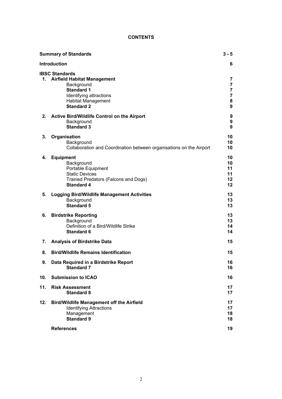## **CONTENTS**

| <b>Summary of Standards</b> |                                                                                                                                                                             | $3 - 5$                                                                    |
|-----------------------------|-----------------------------------------------------------------------------------------------------------------------------------------------------------------------------|----------------------------------------------------------------------------|
| <b>Introduction</b><br>6    |                                                                                                                                                                             |                                                                            |
| 1.                          | <b>IBSC Standards</b><br><b>Airfield Habitat Management</b><br>Background<br><b>Standard 1</b><br>Identifying attractions<br><b>Habitat Management</b><br><b>Standard 2</b> | 7<br>$\overline{7}$<br>$\overline{\mathbf{7}}$<br>$\overline{7}$<br>8<br>9 |
| 2.                          | Active Bird/Wildlife Control on the Airport<br>Background<br><b>Standard 3</b>                                                                                              | 9<br>9<br>9                                                                |
| 3.                          | Organisation<br>Background<br>Collaboration and Coordination between organisations on the Airport                                                                           | 10<br>10<br>10                                                             |
| 4.                          | <b>Equipment</b><br>Background<br>Portable Equipment<br><b>Static Devices</b><br>Trained Predators (Falcons and Dogs)<br><b>Standard 4</b>                                  | 10<br>10<br>11<br>11<br>12<br>12                                           |
| 5.                          | <b>Logging Bird/Wildlife Management Activities</b><br>Background<br><b>Standard 5</b>                                                                                       | 13<br>13<br>13                                                             |
| 6.                          | <b>Birdstrike Reporting</b><br>Background<br>Definition of a Bird/Wildlife Strike<br><b>Standard 6</b>                                                                      | 13<br>13<br>14<br>14                                                       |
| 7.                          | <b>Analysis of Birdstrike Data</b>                                                                                                                                          | 15                                                                         |
| 8.                          | <b>Bird/Wildlife Remains Identification</b>                                                                                                                                 | 15                                                                         |
| 9.                          | Data Required in a Birdstrike Report<br><b>Standard 7</b>                                                                                                                   | 16<br>16                                                                   |
| 10.                         | <b>Submission to ICAO</b>                                                                                                                                                   | 16                                                                         |
| 11.                         | <b>Risk Assessment</b><br><b>Standard 8</b>                                                                                                                                 | 17<br>17                                                                   |
| 12.                         | <b>Bird/Wildlife Management off the Airfield</b><br><b>Identifying Attractions</b><br>Management<br><b>Standard 9</b>                                                       | 17<br>17<br>18<br>18                                                       |
|                             | <b>References</b>                                                                                                                                                           | 19                                                                         |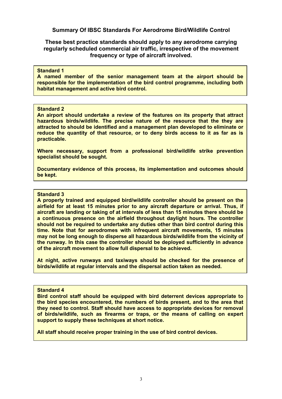**Summary Of IBSC Standards For Aerodrome Bird/Wildlife Control** 

**These best practice standards should apply to any aerodrome carrying regularly scheduled commercial air traffic, irrespective of the movement frequency or type of aircraft involved.** 

#### **Standard 1**

**A named member of the senior management team at the airport should be responsible for the implementation of the bird control programme, including both habitat management and active bird control.** 

#### **Standard 2**

**An airport should undertake a review of the features on its property that attract hazardous birds/wildlife. The precise nature of the resource that the they are attracted to should be identified and a management plan developed to eliminate or reduce the quantity of that resource, or to deny birds access to it as far as is practicable.** 

**Where necessary, support from a professional bird/wildlife strike prevention specialist should be sought.** 

**Documentary evidence of this process, its implementation and outcomes should be kept.**

#### **Standard 3**

**A properly trained and equipped bird/wildlife controller should be present on the airfield for at least 15 minutes prior to any aircraft departure or arrival. Thus, if aircraft are landing or taking of at intervals of less than 15 minutes there should be a continuous presence on the airfield throughout daylight hours. The controller should not be required to undertake any duties other than bird control during this time. Note that for aerodromes with infrequent aircraft movements, 15 minutes may not be long enough to disperse all hazardous birds/wildlife from the vicinity of the runway. In this case the controller should be deployed sufficiently in advance of the aircraft movement to allow full dispersal to be achieved.**

**At night, active runways and taxiways should be checked for the presence of birds/wildlife at regular intervals and the dispersal action taken as needed.**

#### **Standard 4**

**Bird control staff should be equipped with bird deterrent devices appropriate to the bird species encountered, the numbers of birds present, and to the area that they need to control. Staff should have access to appropriate devices for removal of birds/wildlife, such as firearms or traps, or the means of calling on expert support to supply these techniques at short notice.**

**All staff should receive proper training in the use of bird control devices.**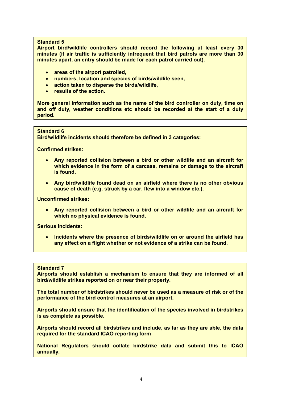**Airport bird/wildlife controllers should record the following at least every 30 minutes (if air traffic is sufficiently infrequent that bird patrols are more than 30 minutes apart, an entry should be made for each patrol carried out).** 

- **areas of the airport patrolled,**
- **numbers, location and species of birds/wildlife seen,**
- **action taken to disperse the birds/wildlife,**
- **results of the action.**

**More general information such as the name of the bird controller on duty, time on and off duty, weather conditions etc should be recorded at the start of a duty period.**

#### **Standard 6**

**Bird/wildlife incidents should therefore be defined in 3 categories:** 

**Confirmed strikes:** 

- **Any reported collision between a bird or other wildlife and an aircraft for which evidence in the form of a carcass, remains or damage to the aircraft is found.**
- **Any bird/wildlife found dead on an airfield where there is no other obvious cause of death (e.g. struck by a car, flew into a window etc.).**

**Unconfirmed strikes:** 

• **Any reported collision between a bird or other wildlife and an aircraft for which no physical evidence is found.** 

**Serious incidents:** 

• **Incidents where the presence of birds/wildlife on or around the airfield has any effect on a flight whether or not evidence of a strike can be found.**

#### **Standard 7**

**Airports should establish a mechanism to ensure that they are informed of all bird/wildlife strikes reported on or near their property.** 

**The total number of birdstrikes should never be used as a measure of risk or of the performance of the bird control measures at an airport.** 

**Airports should ensure that the identification of the species involved in birdstrikes is as complete as possible.** 

**Airports should record all birdstrikes and include, as far as they are able, the data required for the standard ICAO reporting form** 

**National Regulators should collate birdstrike data and submit this to ICAO annually.**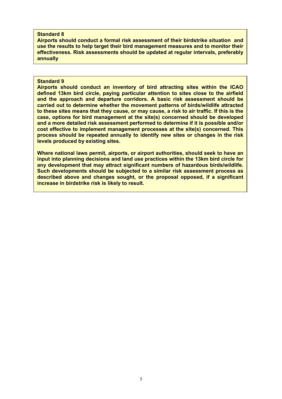**Airports should conduct a formal risk assessment of their birdstrike situation and use the results to help target their bird management measures and to monitor their effectiveness. Risk assessments should be updated at regular intervals, preferably annually**

#### **Standard 9**

**Airports should conduct an inventory of bird attracting sites within the ICAO defined 13km bird circle, paying particular attention to sites close to the airfield and the approach and departure corridors. A basic risk assessment should be carried out to determine whether the movement patterns of birds/wildlife attracted to these sites means that they cause, or may cause, a risk to air traffic. If this is the case, options for bird management at the site(s) concerned should be developed and a more detailed risk assessment performed to determine if it is possible and/or cost effective to implement management processes at the site(s) concerned. This process should be repeated annually to identify new sites or changes in the risk levels produced by existing sites.** 

**Where national laws permit, airports, or airport authorities, should seek to have an input into planning decisions and land use practices within the 13km bird circle for any development that may attract significant numbers of hazardous birds/wildlife. Such developments should be subjected to a similar risk assessment process as described above and changes sought, or the proposal opposed, if a significant increase in birdstrike risk is likely to result.**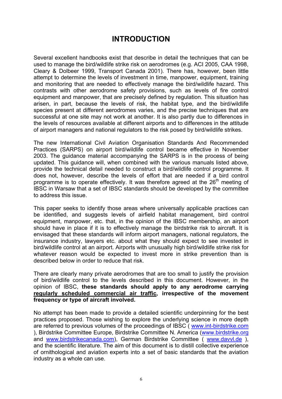## **INTRODUCTION**

Several excellent handbooks exist that describe in detail the techniques that can be used to manage the bird/wildlife strike risk on aerodromes (e.g. ACI 2005, CAA 1998, Cleary & Dolbeer 1999, Transport Canada 2001). There has, however, been little attempt to determine the levels of investment in time, manpower, equipment, training and monitoring that are needed to effectively manage the bird/wildlife hazard. This contrasts with other aerodrome safety provisions, such as levels of fire control equipment and manpower, that are precisely defined by regulation. This situation has arisen, in part, because the levels of risk, the habitat type, and the bird/wildlife species present at different aerodromes varies, and the precise techniques that are successful at one site may not work at another. It is also partly due to differences in the levels of resources available at different airports and to differences in the attitude of airport managers and national regulators to the risk posed by bird/wildlife strikes.

The new International Civil Aviation Organisation Standards And Recommended Practices (SARPS) on airport bird/wildlife control became effective in November 2003. The guidance material accompanying the SARPS is in the process of being updated. This guidance will, when combined with the various manuals listed above, provide the technical detail needed to construct a bird/wildlife control programme. It does not, however, describe the levels of effort that are needed if a bird control programme is to operate effectively. It was therefore agreed at the  $26<sup>th</sup>$  meeting of IBSC in Warsaw that a set of IBSC standards should be developed by the committee to address this issue.

This paper seeks to identify those areas where universally applicable practices can be identified, and suggests levels of airfield habitat management, bird control equipment, manpower, etc. that, in the opinion of the IBSC membership, an airport should have in place if it is to effectively manage the birdstrike risk to aircraft. It is envisaged that these standards will inform airport managers, national regulators, the insurance industry, lawyers etc. about what they should expect to see invested in bird/wildlife control at an airport. Airports with unusually high bird/wildlife strike risk for whatever reason would be expected to invest more in strike prevention than is described below in order to reduce that risk.

There are clearly many private aerodromes that are too small to justify the provision of bird/wildlife control to the levels described in this document. However, in the opinion of IBSC, **these standards should apply to any aerodrome carrying regularly scheduled commercial air traffic, irrespective of the movement frequency or type of aircraft involved.** 

No attempt has been made to provide a detailed scientific underpinning for the best practices proposed. Those wishing to explore the underlying science in more depth are referred to previous volumes of the proceedings of IBSC ( [www.int-birdstrike.com](http://www.int-birdstrike.com/) ), Birdstrike Committee Europe, Birdstrike Committee N. America ([www.birdstrike.org](http://www.birdstrike.org/) and [www.birdstrikecanada.com\)](http://www.birdstrikecanada.com/), German Birdstrike Committee ( [www.davvl.de](http://www.davvl.de/) ), and the scientific literature. The aim of this document is to distill collective experience of ornithological and aviation experts into a set of basic standards that the aviation industry as a whole can use.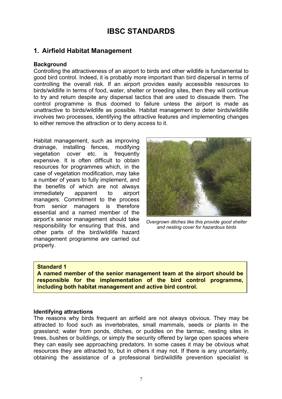## **IBSC STANDARDS**

## **1. Airfield Habitat Management**

## **Background**

Controlling the attractiveness of an airport to birds and other wildlife is fundamental to good bird control. Indeed, it is probably more important than bird dispersal in terms of controlling the overall risk. If an airport provides easily accessible resources to birds/wildlife in terms of food, water, shelter or breeding sites, then they will continue to try and return despite any dispersal tactics that are used to dissuade them. The control programme is thus doomed to failure unless the airport is made as unattractive to birds/wildlife as possible. Habitat management to deter birds/wildlife involves two processes, identifying the attractive features and implementing changes to either remove the attraction or to deny access to it.

Habitat management, such as improving drainage, installing fences, modifying vegetation cover etc. is frequently expensive. It is often difficult to obtain resources for programmes which, in the case of vegetation modification, may take a number of years to fully implement, and the benefits of which are not always immediately apparent to airport managers. Commitment to the process from senior managers is therefore essential and a named member of the airport's senior management should take responsibility for ensuring that this, and other parts of the bird/wildlife hazard management programme are carried out properly.



*Overgrown ditches like this provide good shelter and nesting cover for hazardous birds* 

## **Standard 1**

**A named member of the senior management team at the airport should be responsible for the implementation of the bird control programme, including both habitat management and active bird control.**

## **Identifying attractions**

The reasons why birds frequent an airfield are not always obvious. They may be attracted to food such as invertebrates, small mammals, seeds or plants in the grassland; water from ponds, ditches, or puddles on the tarmac, nesting sites in trees, bushes or buildings, or simply the security offered by large open spaces where they can easily see approaching predators. In some cases it may be obvious what resources they are attracted to, but in others it may not. If there is any uncertainty, obtaining the assistance of a professional bird/wildlife prevention specialist is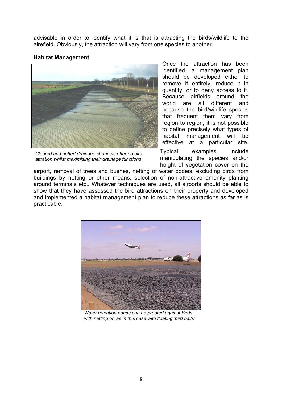advisable in order to identify what it is that is attracting the birds/wildlife to the airefield. Obviously, the attraction will vary from one species to another.

## **Habitat Management**



*Cleared and netted drainage channels offer no bird attration whilst maximising their drainage functions* 

Once the attraction has been identified, a management plan should be developed either to remove it entirely, reduce it in quantity, or to deny access to it. Because airfields around the world are all different and because the bird/wildlife species that frequent them vary from region to region, it is not possible to define precisely what types of habitat management will be effective at a particular site.

Typical examples include manipulating the species and/or height of vegetation cover on the

airport, removal of trees and bushes, netting of water bodies, excluding birds from buildings by netting or other means, selection of non-attractive amenity planting around terminals etc.. Whatever techniques are used, all airports should be able to show that they have assessed the bird attractions on their property and developed and implemented a habitat management plan to reduce these attractions as far as is practicable.



 *Water retention ponds can be proofed against Birds with netting or, as in this case with floating 'bird balls'*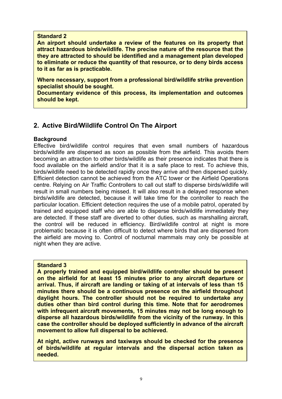**An airport should undertake a review of the features on its property that attract hazardous birds/wildlife. The precise nature of the resource that the they are attracted to should be identified and a management plan developed to eliminate or reduce the quantity of that resource, or to deny birds access to it as far as is practicable.** 

**Where necessary, support from a professional bird/wildlife strike prevention specialist should be sought.**

**Documentary evidence of this process, its implementation and outcomes should be kept.** 

## **2. Active Bird/Wildlife Control On The Airport**

## **Background**

Effective bird/wildlife control requires that even small numbers of hazardous birds/wildlife are dispersed as soon as possible from the airfield. This avoids them becoming an attraction to other birds/wildlife as their presence indicates that there is food available on the airfield and/or that it is a safe place to rest. To achieve this, birds/wildlife need to be detected rapidly once they arrive and then dispersed quickly. Efficient detection cannot be achieved from the ATC tower or the Airfield Operations centre. Relying on Air Traffic Controllers to call out staff to disperse birds/wildlife will result in small numbers being missed. It will also result in a delayed response when birds/wildlife are detected, because it will take time for the controller to reach the particular location. Efficient detection requires the use of a mobile patrol, operated by trained and equipped staff who are able to disperse birds/wildlife immediately they are detected. If these staff are diverted to other duties, such as marshalling aircraft, the control will be reduced in efficiency. Bird/wildlife control at night is more problematic because it is often difficult to detect where birds that are dispersed from the airfield are moving to. Control of nocturnal mammals may only be possible at night when they are active.

## **Standard 3**

**A properly trained and equipped bird/wildlife controller should be present on the airfield for at least 15 minutes prior to any aircraft departure or arrival. Thus, if aircraft are landing or taking of at intervals of less than 15 minutes there should be a continuous presence on the airfield throughout daylight hours. The controller should not be required to undertake any duties other than bird control during this time. Note that for aerodromes with infrequent aircraft movements, 15 minutes may not be long enough to disperse all hazardous birds/wildlife from the vicinity of the runway. In this case the controller should be deployed sufficiently in advance of the aircraft movement to allow full dispersal to be achieved.** 

**At night, active runways and taxiways should be checked for the presence of birds/wildlife at regular intervals and the dispersal action taken as needed.**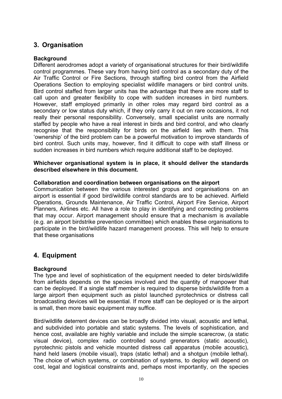## **3. Organisation**

## **Background**

Different aerodromes adopt a variety of organisational structures for their bird/wildlife control programmes. These vary from having bird control as a secondary duty of the Air Traffic Control or Fire Sections, through staffing bird control from the Airfield Operations Section to employing specialist wildlife managers or bird control units. Bird control staffed from larger units has the advantage that there are more staff to call upon and greater flexibility to cope with sudden increases in bird numbers. However, staff employed primarily in other roles may regard bird control as a secondary or low status duty which, if they only carry it out on rare occasions, it not really their personal responsibility. Conversely, small specialist units are normally staffed by people who have a real interest in birds and bird control, and who clearly recognise that the responsibility for birds on the airfield lies with them. This 'ownership' of the bird problem can be a powerful motivation to improve standards of bird control. Such units may, however, find it difficult to cope with staff illness or sudden increases in bird numbers which require additional staff to be deployed.

## **Whichever organisational system is in place, it should deliver the standards described elsewhere in this document.**

## **Collaboration and coordination between organisations on the airport**

Communication between the various interested gropus and organisations on an airport is essential if good bird/wildlife control standards are to be achieved. Airfield Operations, Grounds Maintenance, Air Traffic Control, Airport Fire Service, Airport Planners, Airlines etc. All have a role to play in identifying and correcting problems that may occur. Airport management should ensure that a mechanism is available (e.g. an airport birdstrike prevention committee) which enables these organisations to participate in the bird/wildlife hazard management process. This will help to ensure that these organisations

## **4. Equipment**

## **Background**

The type and level of sophistication of the equipment needed to deter birds/wildlife from airfields depends on the species involved and the quantity of manpower that can be deployed. If a single staff member is required to disperse birds/wildlife from a large airport then equipment such as pistol launched pyrotechnics or distress call broadcasting devices will be essential. If more staff can be deployed or is the airport is small, then more basic equipment may suffice.

Bird/wildlife deterrent devices can be broadly divided into visual, acoustic and lethal, and subdivided into portable and static systems. The levels of sophistication, and hence cost, available are highly variable and include the simple scarecrow, (a static visual device), complex radio controlled sound grenerators (static acoustic), pyrotechnic pistols and vehicle mounted distress call apparatus (mobile acoustic), hand held lasers (mobile visual), traps (static lethal) and a shotgun (mobile lethal). The choice of which systems, or combination of systems, to deploy will depend on cost, legal and logistical constraints and, perhaps most importantly, on the species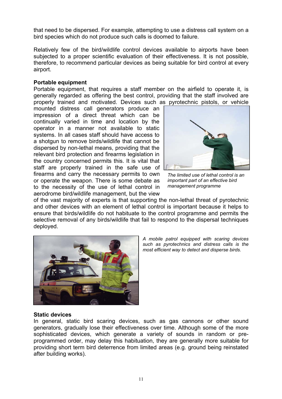that need to be dispersed. For example, attempting to use a distress call system on a bird species which do not produce such calls is doomed to failure.

Relatively few of the bird/wildlife control devices available to airports have been subjected to a proper scientific evaluation of their effectiveness. It is not possible, therefore, to recommend particular devices as being suitable for bird control at every airport.

## **Portable equipment**

Portable equipment, that requires a staff member on the airfield to operate it, is generally regarded as offering the best control, providing that the staff involved are properly trained and motivated. Devices such as pyrotechnic pistols, or vehicle

mounted distress call generators produce an impression of a direct threat which can be continually varied in time and location by the operator in a manner not available to static systems. In all cases staff should have access to a shotgun to remove birds/wildlife that cannot be dispersed by non-lethal means, providing that the relevant bird protection and firearms legislation in the country concerned permits this. It is vital that staff are properly trained in the safe use of firearms and carry the necessary permits to own or operate the weapon. There is some debate as to the necessity of the use of lethal control in aerodrome bird/wildlife management, but the view



*The limited use of lethal control is an important part of an effective bird management programme*

of the vast majority of experts is that supporting the non-lethal threat of pyrotechnic and other devices with an element of lethal control is important because it helps to ensure that birds/wildlife do not habituate to the control programme and permits the selective removal of any birds/wildlife that fail to respond to the dispersal techniques deployed.



*A mobile patrol equipped with scaring devices such as pyrotechnics and distress calls is the most efficient way to detect and disperse birds.* 

## **Static devices**

In general, static bird scaring devices, such as gas cannons or other sound generators, gradually lose their effectiveness over time. Although some of the more sophisticated devices, which generate a variety of sounds in random or preprogrammed order, may delay this habituation, they are generally more suitable for providing short term bird deterrence from limited areas (e.g. ground being reinstated after building works).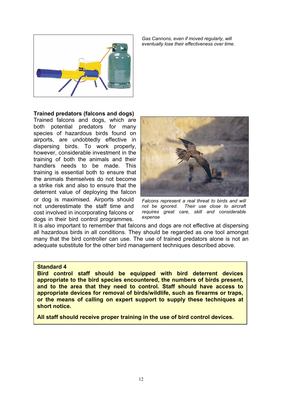

*Gas Cannons, even if moved regularly, will eventually lose their effectiveness over time.*

## **Trained predators (falcons and dogs)**

Trained falcons and dogs, which are both potential predators for many species of hazardous birds found on airports, are undobtedly effective in dispersing birds. To work properly, however, considerable investment in the training of both the animals and their handlers needs to be made. This training is essential both to ensure that the animals themselves do not become a strike risk and also to ensure that the deterrent value of deploying the falcon or dog is maximised. Airports should not underestimate the staff time and cost involved in incorporating falcons or dogs in their bird control programmes.



*Falcons represent a real threat to birds and will not be ignored. Their use close to aircraft requires great care, skill and considerable expense*

It is also important to remember that falcons and dogs are not effective at dispersing all hazardous birds in all conditions. They should be regarded as one tool amongst many that the bird controller can use. The use of trained predators alone is not an adequate substitute for the other bird management techniques described above.

## **Standard 4**

**Bird control staff should be equipped with bird deterrent devices appropriate to the bird species encountered, the numbers of birds present, and to the area that they need to control. Staff should have access to appropriate devices for removal of birds/wildlife, such as firearms or traps, or the means of calling on expert support to supply these techniques at short notice.** 

**All staff should receive proper training in the use of bird control devices.**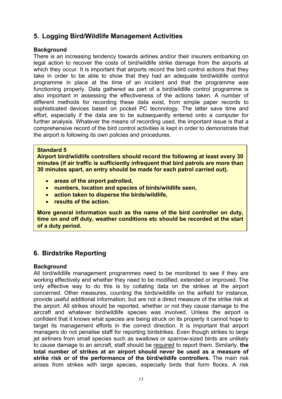## **5. Logging Bird/Wildlife Management Activities**

## **Background**

There is an increasing tendency towards airlines and/or their insurers embarking on legal action to recover the costs of bird/wildlife strike damage from the airports at which they occur. It is important that airports record the bird control actions that they take in order to be able to show that they had an adequate bird/wildlife control programme in place at the time of an incident and that the programme was functioning properly. Data gathered as part of a bird/wildlife control programme is also important in assessing the effectiveness of the actions taken. A number of different methods for recording these data exist, from simple paper records to sophisticated devices based on pocket PC tecnnology. The latter save time and effort, especially if the data are to be subsequently entered onto a computer for further analysis. Whatever the means of recording used, the important issue is that a comprehensive record of the bird control activities is kept in order to demonstrate that the airport is following its own policies and procedures.

## **Standard 5**

**Airport bird/wildlife controllers should record the following at least every 30 minutes (if air traffic is sufficiently infrequent that bird patrols are more than 30 minutes apart, an entry should be made for each patrol carried out).** 

- **areas of the airport patrolled,**
- **numbers, location and species of birds/wildlife seen,**
- **action taken to disperse the birds/wildlife,**
- **results of the action.**

**More general information such as the name of the bird controller on duty, time on and off duty, weather conditions etc should be recorded at the start of a duty period.** 

## **6. Birdstrike Reporting**

## **Background**

All bird/wildlife management programmes need to be monitored to see if they are working effectively and whether they need to be modified, extended or improved. The only effective way to do this is by collating data on the strikes at the airport concerned. Other measures, counting the birds/wildlife on the airfield for instance, provide useful additional information, but are not a direct measure of the strike risk at the airport. All strikes should be reported, whether or not they cause damage to the aircraft and whatever bird/wildlife species was involved. Unless the airport is confident that it knows what species are being struck on its property it cannot hope to target its management efforts in the correct direction. It is important that airport managers do not penalise staff for reporting birdstrikes. Even though strikes to large jet airliners from small species such as swallows or sparrow-sized birds are unlikely to cause damage to an aircraft, staff should be required to report them. Similarly, **the total number of strikes at an airport should never be used as a measure of strike risk or of the performance of the bird/wildife controllers.** The main risk arises from strikes with large species, especially birds that form flocks. A risk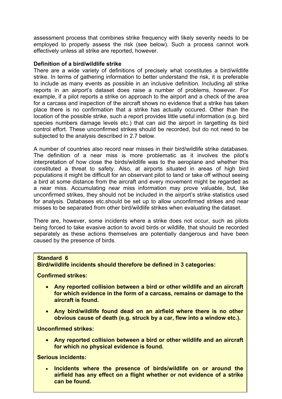assessment process that combines strike frequency with likely severity needs to be employed to properly assess the risk (see below). Such a process cannot work effectively unless all strike are reported, however.

## **Definition of a bird/wildlife strike**

There are a wide variety of definitions of precisely what constitutes a bird/wildlife strike. In terms of gathering information to better understand the risk, it is preferable to include as many events as possible in an inclusive definition. Including all strike reports in an airport's dataset does raise a number of problems, however. For example, if a pilot reports a strike on approach to the airport and a check of the area for a carcass and inspection of the aircraft shows no evidence that a strike has taken place there is no confirmation that a strike has actually occured. Other than the location of the possible strike, such a report provides little useful information (e.g. bird species numbers damage levels etc.) that can aid the airport in targetting its bird control effort. These unconfirmed strikes should be recorded, but do not need to be subjected to the analysis described in 2.7 below.

A number of countries also record near misses in their bird/wildlife strike databases. The definition of a near miss is more problematic as it involves the pilot's interpretation of how close the birds/wildlife was to the aeroplane and whether this constituted a threat to safety. Also, at airports situated in areas of high bird populations it might be difficult for an observant pilot to land or take off without seeing a bird at some distance from the aircraft and every movement might be regarded as a near miss. Accumulating near miss information may prove valuable, but, like unconfirmed strikes, they should not be included in the airport's strike statistics used for analysis. Databases etc.should be set up to allow unconfirmed strikes and near misses to be separated from other bird/wildlife strikes when evaluating the dataset.

There are, however, some incidents where a strike does not occur, such as pilots being forced to take evasive action to avoid birds or wildlife, that should be recorded separately as these actions themselves are potentially dangerous and have been caused by the presence of birds.

## **Standard 6**

## **Bird/wildlife incidents should therefore be defined in 3 categories:**

**Confirmed strikes:** 

- **Any reported collision between a bird or other wildlife and an aircraft for which evidence in the form of a carcass, remains or damage to the aircraft is found.**
- **Any bird/wildlife found dead on an airfield where there is no other obvious cause of death (e.g. struck by a car, flew into a window etc.).**

**Unconfirmed strikes:** 

• **Any reported collision between a bird or other wildlife and an aircraft for which no physical evidence is found.** 

**Serious incidents:** 

• **Incidents where the presence of birds/wildlife on or around the airfield has any effect on a flight whether or not evidence of a strike can be found.**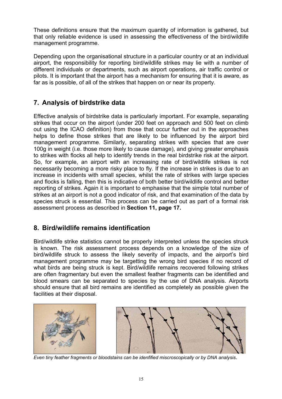These definitions ensure that the maximum quantity of information is gathered, but that only reliable evidence is used in assessing the effectiveness of the bird/wildlife management programme.

Depending upon the organisational structure in a particular country or at an individual airport, the responsibility for reporting bird/wildlife strikes may lie with a number of different individuals or departments, such as airport operations, air traffic control or pilots. It is important that the airport has a mechanism for ensuring that it is aware, as far as is possible, of all of the strikes that happen on or near its property.

## **7. Analysis of birdstrike data**

Effective analysis of birdstrike data is particularly important. For example, separating strikes that occur on the airport (under 200 feet on approach and 500 feet on climb out using the ICAO definition) from those that occur further out in the approaches helps to define those strikes that are likely to be influenced by the airport bird management programme. Similarly, separating strikes with species that are over 100g in weight (i.e. those more likely to cause damage), and giving greater emphasis to strikes with flocks all help to identify trends in the real birdstrike risk at the airport. So, for example, an airport with an increasing rate of bird/wildlife strikes is not necessarily becoming a more risky place to fly. If the increase in strikes is due to an increase in incidents with small species, whilst the rate of strikes with large species and flocks is falling, then this is indicative of both better bird/wildlife control and better reporting of strikes. Again it is important to emphasise that the simple total number of strikes at an airport is not a good indicator of risk, and that examination of the data by species struck is essential. This process can be carried out as part of a formal risk assessment process as described in **Section 11, page 17.**

## **8. Bird/wildlife remains identification**

Bird/wildlife strike statistics cannot be properly interpreted unless the species struck is known. The risk assessment process depends on a knowledge of the size of bird/wildlife struck to assess the likely severity of impacts, and the airport's bird management programme may be targetting the wrong bird species if no record of what birds are being struck is kept. Bird/wildlife remains recovered following strikes are often fragmentary but even the smallest feather fragments can be identified and blood smears can be separated to species by the use of DNA analysis. Airports should ensure that all bird remains are identified as completely as possible given the facilities at their disposal.



*Even tiny feather fragments or bloodstains can be idenfified miscroscopically or by DNA analysis*.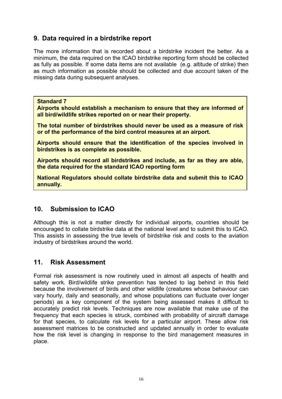## **9. Data required in a birdstrike report**

The more information that is recorded about a birdstrike incident the better. As a minimum, the data required on the ICAO birdstrike reporting form should be collected as fully as possible. If some data items are not available (e.g. altitude of strike) then as much information as possible should be collected and due account taken of the missing data during subsequent analyses.

**Standard 7** 

**Airports should establish a mechanism to ensure that they are informed of all bird/wildlife strikes reported on or near their property.** 

**The total number of birdstrikes should never be used as a measure of risk or of the performance of the bird control measures at an airport.** 

**Airports should ensure that the identification of the species involved in birdstrikes is as complete as possible.** 

**Airports should record all birdstrikes and include, as far as they are able, the data required for the standard ICAO reporting form** 

**National Regulators should collate birdstrike data and submit this to ICAO annually.**

## **10. Submission to ICAO**

Although this is not a matter directly for individual airports, countries should be encouraged to collate birdstrike data at the national level and to submit this to ICAO. This assists in assessing the true levels of birdstrike risk and costs to the aviation industry of birdstrikes around the world.

## **11. Risk Assessment**

Formal risk assessment is now routinely used in almost all aspects of health and safety work. Bird/wildlife strike prevention has tended to lag behind in this field because the involvement of birds and other wildlife (creatures whose behaviour can vary hourly, daily and seasonally, and whose populations can fluctuate over longer periods) as a key component of the system being assessed makes it difficult to accurately predict risk levels. Techniques are now available that make use of the frequency that each species is struck, combined with probability of aircraft damage for that species, to calculate risk levels for a particular airport. These allow risk assessment matrices to be constructed and updated annually in order to evaluate how the risk level is changing in response to the bird management measures in place.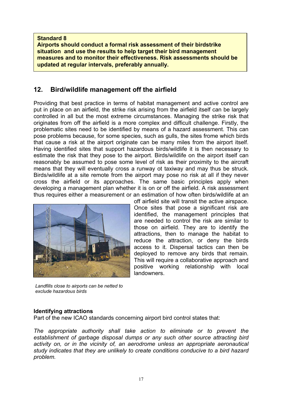**Airports should conduct a formal risk assessment of their birdstrike situation and use the results to help target their bird management measures and to monitor their effectiveness. Risk assessments should be updated at regular intervals, preferably annually.**

## **12. Bird/wildlife management off the airfield**

Providing that best practice in terms of habitat management and active control are put in place on an airfield, the strike risk arising from the airfield itself can be largely controlled in all but the most extreme circumstances. Managing the strike risk that originates from off the airfield is a more complex and difficult challenge. Firstly, the problematic sites need to be identified by means of a hazard assessment. This can pose problems because, for some species, such as gulls, the sites frome which birds that cause a risk at the airport originate can be many miles from the airport itself. Having identified sites that support hazardous birds/wildlife it is then necessary to estimate the risk that they pose to the airport. Birds/wildlife on the airport itself can reasonably be assumed to pose some level of risk as their proximity to the aircraft means that they will eventually cross a runway ot taxiway and may thus be struck. Birds/wildlife at a site remote from the airport may pose no risk at all if they never cross the airfield or its approaches. The same basic principles apply when developing a management plan whether it is on or off the airfield. A risk assessment thus requires either a measurement or an estimation of how often birds/wildlife at an



off airfield site will transit the active airspace. Once sites that pose a significant risk are identified, the management principles that are needed to control the risk are similar to those on airfield. They are to identify the attractions, then to manage the habitat to reduce the attraction, or deny the birds access to it. Dispersal tactics can then be deployed to remove any birds that remain. This will require a collaborative approach and positive working relationship with local landowners.

*Landfills close to airports can be netted to exclude hazardous birds*

## **Identifying attractions**

Part of the new ICAO standards concerning airport bird control states that:

*The appropriate authority shall take action to eliminate or to prevent the establishment of garbage disposal dumps or any such other source attracting bird activity on, or in the vicinity of, an aerodrome unless an appropriate aeronautical study indicates that they are unlikely to create conditions conducive to a bird hazard problem.*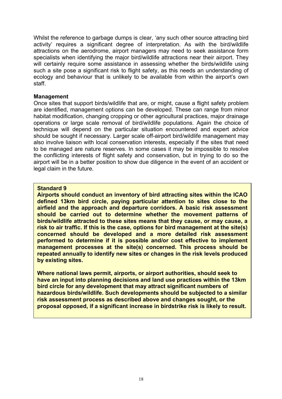Whilst the reference to garbage dumps is clear, 'any such other source attracting bird activity' requires a significant degree of interpretation. As with the bird/wildlife attractions on the aerodrome, airport managers may need to seek assistance form specialists when identifying the major bird/wildlife attractions near their airport. They will certainly require some assistance in assessing whether the birds/wildlife using such a site pose a significant risk to flight safety, as this needs an understanding of ecology and behaviour that is unlikely to be available from within the airport's own staff.

## **Management**

Once sites that support birds/wildlife that are, or might, cause a flight safety problem are identified, management options can be developed. These can range from minor habitat modification, changing cropping or other agricultural practices, major drainage operations or large scale removal of bird/wildlife populations. Again the choice of technique will depend on the particular situation encountered and expert advice should be sought if necessary. Larger scale off-airport bird/wildlife management may also involve liaison with local conservation interests, especially if the sites that need to be managed are nature reserves. In some cases it may be impossible to resolve the conflicting interests of flight safety and conservation, but in trying to do so the airport will be in a better position to show due diligence in the event of an accident or legal claim in the future.

## **Standard 9**

**Airports should conduct an inventory of bird attracting sites within the ICAO defined 13km bird circle, paying particular attention to sites close to the airfield and the approach and departure corridors. A basic risk assessment should be carried out to determine whether the movement patterns of birds/wildlife attracted to these sites means that they cause, or may cause, a risk to air traffic. If this is the case, options for bird management at the site(s) concerned should be developed and a more detailed risk assessment performed to determine if it is possible and/or cost effective to implement management processes at the site(s) concerned. This process should be repeated annually to identify new sites or changes in the risk levels produced by existing sites.** 

**Where national laws permit, airports, or airport authorities, should seek to have an input into planning decisions and land use practices within the 13km bird circle for any development that may attract significant numbers of hazardous birds/wildlife. Such developments should be subjected to a similar risk assessment process as described above and changes sought, or the proposal opposed, if a significant increase in birdstrike risk is likely to result.**